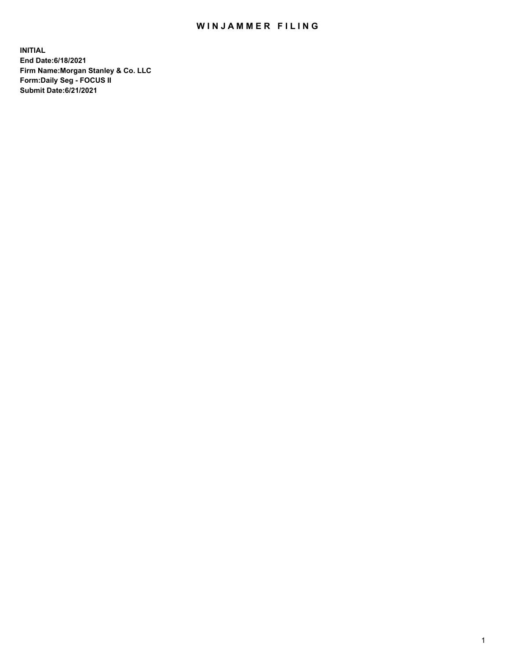## WIN JAMMER FILING

**INITIAL End Date:6/18/2021 Firm Name:Morgan Stanley & Co. LLC Form:Daily Seg - FOCUS II Submit Date:6/21/2021**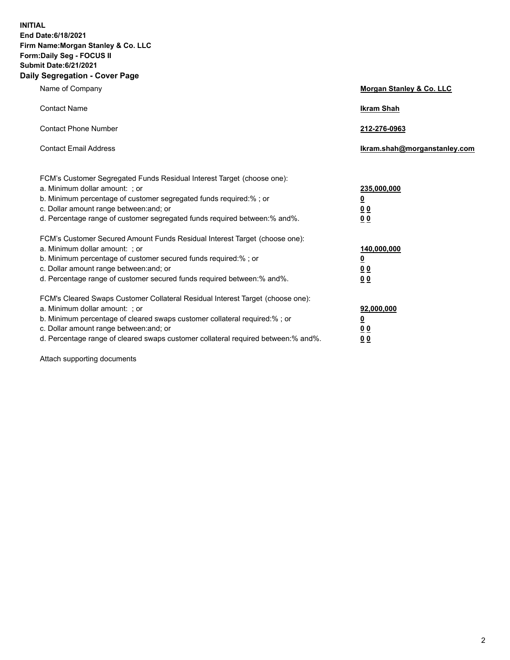**INITIAL End Date:6/18/2021 Firm Name:Morgan Stanley & Co. LLC Form:Daily Seg - FOCUS II Submit Date:6/21/2021 Daily Segregation - Cover Page**

| Name of Company                                                                                                                                                                                                                                                                                                                | <b>Morgan Stanley &amp; Co. LLC</b>                         |
|--------------------------------------------------------------------------------------------------------------------------------------------------------------------------------------------------------------------------------------------------------------------------------------------------------------------------------|-------------------------------------------------------------|
| <b>Contact Name</b>                                                                                                                                                                                                                                                                                                            | <b>Ikram Shah</b>                                           |
| <b>Contact Phone Number</b>                                                                                                                                                                                                                                                                                                    | 212-276-0963                                                |
| <b>Contact Email Address</b>                                                                                                                                                                                                                                                                                                   | Ikram.shah@morganstanley.com                                |
| FCM's Customer Segregated Funds Residual Interest Target (choose one):<br>a. Minimum dollar amount: ; or<br>b. Minimum percentage of customer segregated funds required:%; or<br>c. Dollar amount range between: and; or<br>d. Percentage range of customer segregated funds required between:% and%.                          | 235,000,000<br><u>0</u><br>0 <sub>0</sub><br>0 <sub>0</sub> |
| FCM's Customer Secured Amount Funds Residual Interest Target (choose one):<br>a. Minimum dollar amount: ; or<br>b. Minimum percentage of customer secured funds required:%; or<br>c. Dollar amount range between: and; or<br>d. Percentage range of customer secured funds required between:% and%.                            | 140,000,000<br><u>0</u><br>0 <sub>0</sub><br>0 <sub>0</sub> |
| FCM's Cleared Swaps Customer Collateral Residual Interest Target (choose one):<br>a. Minimum dollar amount: ; or<br>b. Minimum percentage of cleared swaps customer collateral required:% ; or<br>c. Dollar amount range between: and; or<br>d. Percentage range of cleared swaps customer collateral required between:% and%. | 92,000,000<br><u>0</u><br><u>00</u><br>00                   |

Attach supporting documents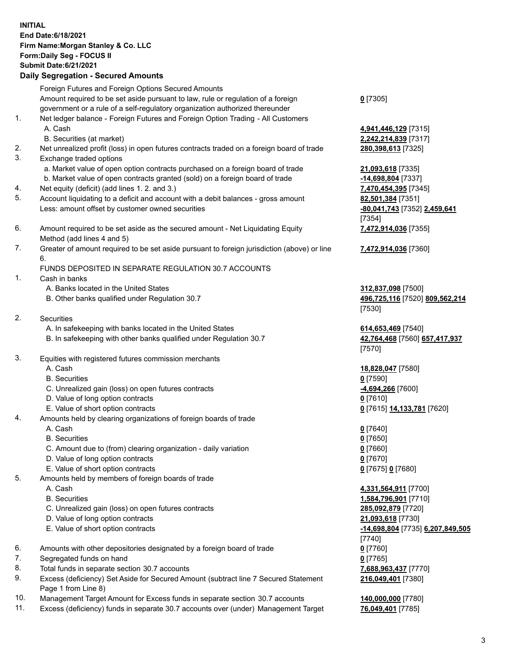## **INITIAL End Date:6/18/2021 Firm Name:Morgan Stanley & Co. LLC Form:Daily Seg - FOCUS II Submit Date:6/21/2021**

## **Daily Segregation - Secured Amounts**

Foreign Futures and Foreign Options Secured Amounts Amount required to be set aside pursuant to law, rule or regulation of a foreign government or a rule of a self-regulatory organization authorized thereunder 1. Net ledger balance - Foreign Futures and Foreign Option Trading - All Customers A. Cash **4,941,446,129** [7315] B. Securities (at market) **2,242,214,839** [7317] 2. Net unrealized profit (loss) in open futures contracts traded on a foreign board of trade **280,398,613** [7325] 3. Exchange traded options a. Market value of open option contracts purchased on a foreign board of trade **21,093,618** [7335] b. Market value of open contracts granted (sold) on a foreign board of trade **-14,698,804** [7337] 4. Net equity (deficit) (add lines 1. 2. and 3.) **7,470,454,395** [7345] 5. Account liquidating to a deficit and account with a debit balances - gross amount **82,501,384** [7351] Less: amount offset by customer owned securities **-80,041,743** [7352] **2,459,641** 6. Amount required to be set aside as the secured amount - Net Liquidating Equity Method (add lines 4 and 5) 7. Greater of amount required to be set aside pursuant to foreign jurisdiction (above) or line 6. FUNDS DEPOSITED IN SEPARATE REGULATION 30.7 ACCOUNTS 1. Cash in banks A. Banks located in the United States **312,837,098** [7500] B. Other banks qualified under Regulation 30.7 **496,725,116** [7520] **809,562,214** 2. Securities A. In safekeeping with banks located in the United States **614,653,469** [7540] B. In safekeeping with other banks qualified under Regulation 30.7 **42,764,468** [7560] **657,417,937** 3. Equities with registered futures commission merchants A. Cash **18,828,047** [7580] B. Securities **0** [7590] C. Unrealized gain (loss) on open futures contracts **-4,694,266** [7600]

- D. Value of long option contracts **0** [7610]
- E. Value of short option contracts **0** [7615] **14,133,781** [7620]
- 4. Amounts held by clearing organizations of foreign boards of trade
	-
	- B. Securities **0** [7650]
	- C. Amount due to (from) clearing organization daily variation **0** [7660]
	- D. Value of long option contracts **0** [7670]
	- E. Value of short option contracts **0** [7675] **0** [7680]
- 5. Amounts held by members of foreign boards of trade
	-
	-
	- C. Unrealized gain (loss) on open futures contracts **285,092,879** [7720]
	- D. Value of long option contracts **21,093,618** [7730]
	-
- 6. Amounts with other depositories designated by a foreign board of trade **0** [7760]
- 7. Segregated funds on hand **0** [7765]
- 8. Total funds in separate section 30.7 accounts **7,688,963,437** [7770]
- 9. Excess (deficiency) Set Aside for Secured Amount (subtract line 7 Secured Statement Page 1 from Line 8)
- 10. Management Target Amount for Excess funds in separate section 30.7 accounts **140,000,000** [7780]
- 11. Excess (deficiency) funds in separate 30.7 accounts over (under) Management Target **76,049,401** [7785]

**0** [7305]

[7354] **7,472,914,036** [7355]

**7,472,914,036** [7360]

[7530]

[7570]

A. Cash **0** [7640]

 A. Cash **4,331,564,911** [7700] B. Securities **1,584,796,901** [7710] E. Value of short option contracts **-14,698,804** [7735] **6,207,849,505** [7740] **216,049,401** [7380]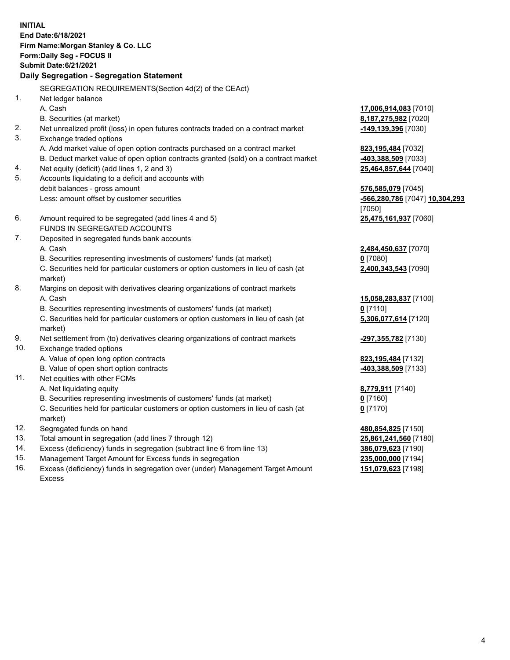**INITIAL End Date:6/18/2021 Firm Name:Morgan Stanley & Co. LLC Form:Daily Seg - FOCUS II Submit Date:6/21/2021 Daily Segregation - Segregation Statement** SEGREGATION REQUIREMENTS(Section 4d(2) of the CEAct) 1. Net ledger balance A. Cash **17,006,914,083** [7010] B. Securities (at market) **8,187,275,982** [7020] 2. Net unrealized profit (loss) in open futures contracts traded on a contract market **-149,139,396** [7030] 3. Exchange traded options A. Add market value of open option contracts purchased on a contract market **823,195,484** [7032] B. Deduct market value of open option contracts granted (sold) on a contract market **-403,388,509** [7033] 4. Net equity (deficit) (add lines 1, 2 and 3) **25,464,857,644** [7040] 5. Accounts liquidating to a deficit and accounts with debit balances - gross amount **576,585,079** [7045] Less: amount offset by customer securities **-566,280,786** [7047] **10,304,293** [7050] 6. Amount required to be segregated (add lines 4 and 5) **25,475,161,937** [7060] FUNDS IN SEGREGATED ACCOUNTS 7. Deposited in segregated funds bank accounts A. Cash **2,484,450,637** [7070] B. Securities representing investments of customers' funds (at market) **0** [7080] C. Securities held for particular customers or option customers in lieu of cash (at market) **2,400,343,543** [7090] 8. Margins on deposit with derivatives clearing organizations of contract markets A. Cash **15,058,283,837** [7100] B. Securities representing investments of customers' funds (at market) **0** [7110] C. Securities held for particular customers or option customers in lieu of cash (at market) **5,306,077,614** [7120] 9. Net settlement from (to) derivatives clearing organizations of contract markets **-297,355,782** [7130] 10. Exchange traded options A. Value of open long option contracts **823,195,484** [7132] B. Value of open short option contracts **-403,388,509** [7133] 11. Net equities with other FCMs A. Net liquidating equity **8,779,911** [7140] B. Securities representing investments of customers' funds (at market) **0** [7160] C. Securities held for particular customers or option customers in lieu of cash (at market) **0** [7170] 12. Segregated funds on hand **480,854,825** [7150] 13. Total amount in segregation (add lines 7 through 12) **25,861,241,560** [7180] 14. Excess (deficiency) funds in segregation (subtract line 6 from line 13) **386,079,623** [7190]

- 15. Management Target Amount for Excess funds in segregation **235,000,000** [7194]
- 16. Excess (deficiency) funds in segregation over (under) Management Target Amount Excess

**151,079,623** [7198]